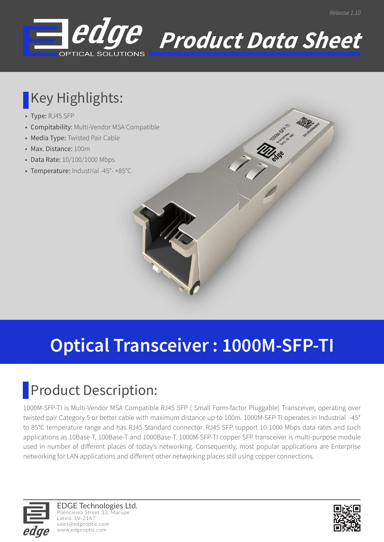



#### **Key Highlights:**

- Type: RJ45 SFP
- Compitability: Multi-Vendor MSA Compatible
- Media Type: Twisted Pair Cable
- Max. Distance: 100m
- Data Rate: 10/100/1000 Mbps
- Temperature: Industrial -45°- +85°C

# **Optical Transceiver : 1000M-SFP-TI**

### **Product Description:**

1000M-SFP-TI is Multi-Vendor MSA Compatible RJ45 SFP ( Small Form-factor Pluggable) Transceiver, operating over twisted pair Category 5 or better cable with maximum distance up to 100m. 1000M-SFP-TI operates in Industrial -45° to 85°C temperature range and has RJ45 Standard connector. RJ45 SFP support 10-1000 Mbps data rates and such applications as 10Base-T, 100Base-T and 1000Base-T. 1000M-SFP-TI copper SFP transceiver is multi-purpose module used in number of different places of today's networking. Consequently, most popular applications are Enterprise networking for LAN applications and different other networking places still using copper connections.



EDGE Technologies Ltd. Plienciema Street 33, Marupe Latvia, LV-2167 sales@edgeoptic.com www.edgeoptic.com

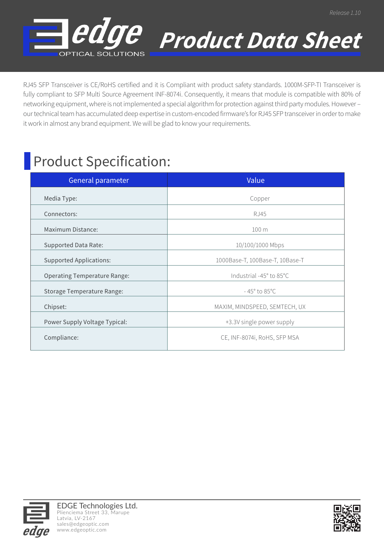

 *Product Data Sheet*

RJ45 SFP Transceiver is CE/RoHS certified and it is Compliant with product safety standards. 1000M-SFP-TI Transceiver is fully compliant to SFP Multi Source Agreement INF-8074i. Consequently, it means that module is compatible with 80% of networking equipment, where is not implemented a special algorithm for protection against third party modules. However – our technical team has accumulated deep expertise in custom-encoded firmware's for RJ45 SFP transceiver in order to make it work in almost any brand equipment. We will be glad to know your requirements.

#### **Product Specification:**

| General parameter                   | Value                            |
|-------------------------------------|----------------------------------|
| Media Type:                         | Copper                           |
| Connectors:                         | RJ45                             |
| Maximum Distance:                   | 100 <sub>m</sub>                 |
| Supported Data Rate:                | 10/100/1000 Mbps                 |
| <b>Supported Applications:</b>      | 1000Base-T, 100Base-T, 10Base-T  |
| <b>Operating Temperature Range:</b> | Industrial -45° to 85°C          |
| Storage Temperature Range:          | $-45^{\circ}$ to 85 $^{\circ}$ C |
| Chipset:                            | MAXIM, MINDSPEED, SEMTECH, UX    |
| Power Supply Voltage Typical:       | +3.3V single power supply        |
| Compliance:                         | CE, INF-8074i, RoHS, SFP MSA     |